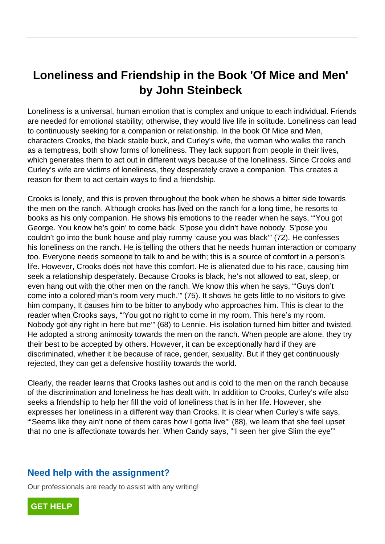## **Loneliness and Friendship in the Book 'Of Mice and Men' by John Steinbeck**

Loneliness is a universal, human emotion that is complex and unique to each individual. Friends are needed for emotional stability; otherwise, they would live life in solitude. Loneliness can lead to continuously seeking for a companion or relationship. In the book Of Mice and Men, characters Crooks, the black stable buck, and Curley's wife, the woman who walks the ranch as a temptress, both show forms of loneliness. They lack support from people in their lives, which generates them to act out in different ways because of the loneliness. Since Crooks and Curley's wife are victims of loneliness, they desperately crave a companion. This creates a reason for them to act certain ways to find a friendship.

Crooks is lonely, and this is proven throughout the book when he shows a bitter side towards the men on the ranch. Although crooks has lived on the ranch for a long time, he resorts to books as his only companion. He shows his emotions to the reader when he says, "'You got George. You know he's goin' to come back. S'pose you didn't have nobody. S'pose you couldn't go into the bunk house and play rummy 'cause you was black'" (72). He confesses his loneliness on the ranch. He is telling the others that he needs human interaction or company too. Everyone needs someone to talk to and be with; this is a source of comfort in a person's life. However, Crooks does not have this comfort. He is alienated due to his race, causing him seek a relationship desperately. Because Crooks is black, he's not allowed to eat, sleep, or even hang out with the other men on the ranch. We know this when he says, "'Guys don't come into a colored man's room very much.'" (75). It shows he gets little to no visitors to give him company. It causes him to be bitter to anybody who approaches him. This is clear to the reader when Crooks says, "'You got no right to come in my room. This here's my room. Nobody got any right in here but me'" (68) to Lennie. His isolation turned him bitter and twisted. He adopted a strong animosity towards the men on the ranch. When people are alone, they try their best to be accepted by others. However, it can be exceptionally hard if they are discriminated, whether it be because of race, gender, sexuality. But if they get continuously rejected, they can get a defensive hostility towards the world. orlety, and this is proven throughout the<br>n the ranch. Although crooks has lived<br>nis only companion. He shows his emo<br>ou know he's goin' to come back. S'po<br>b into the bunk house and play rummy<br>ess on the ranch. He is telli

Clearly, the reader learns that Crooks lashes out and is cold to the men on the ranch because of the discrimination and loneliness he has dealt with. In addition to Crooks, Curley's wife also seeks a friendship to help her fill the void of loneliness that is in her life. However, she expresses her loneliness in a different way than Crooks. It is clear when Curley's wife says, "'Seems like they ain't none of them cares how I gotta live'" (88), we learn that she feel upset that no one is affectionate towards her. When Candy says, "'I seen her give Slim the eye'"

## **Need help with the assignment?**

Our professionals are ready to assist with any writing!

**[GET HELP](https://my.gradesfixer.com/order?utm_campaign=pdf_sample)**